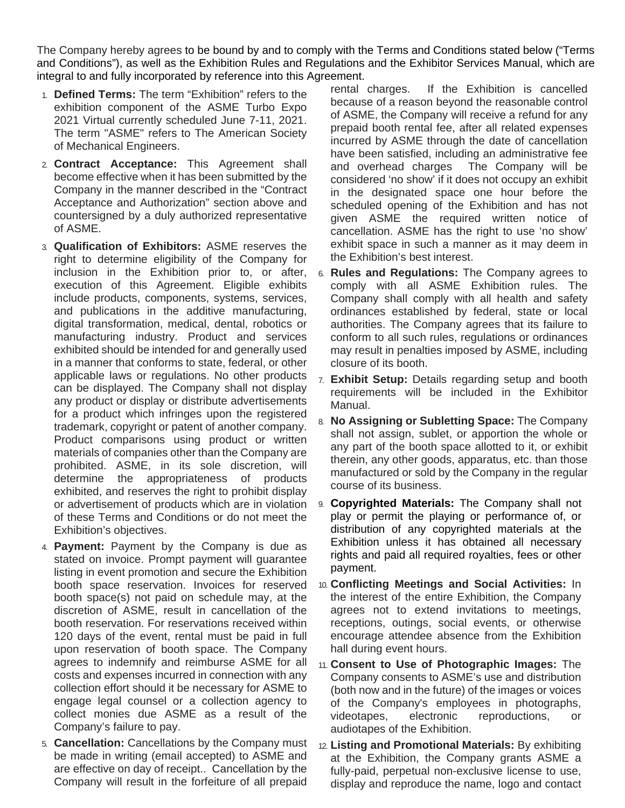The Company hereby agrees to be bound by and to comply with the Terms and Conditions stated below ("Terms and Conditions"), as well as the Exhibition Rules and Regulations and the Exhibitor Services Manual, which are integral to and fully incorporated by reference into this Agreement.

- 1. **Defined Terms:** The term "Exhibition" refers to the exhibition component of the ASME Turbo Expo 2021 Virtual currently scheduled June 7-11, 2021. The term "ASME" refers to The American Society of Mechanical Engineers.
- 2. **Contract Acceptance:** This Agreement shall become effective when it has been submitted by the Company in the manner described in the "Contract Acceptance and Authorization" section above and countersigned by a duly authorized representative of ASME.
- 3. **Qualification of Exhibitors:** ASME reserves the right to determine eligibility of the Company for inclusion in the Exhibition prior to, or after, execution of this Agreement. Eligible exhibits include products, components, systems, services, and publications in the additive manufacturing, digital transformation, medical, dental, robotics or manufacturing industry. Product and services exhibited should be intended for and generally used in a manner that conforms to state, federal, or other applicable laws or regulations. No other products can be displayed. The Company shall not display any product or display or distribute advertisements for a product which infringes upon the registered trademark, copyright or patent of another company. Product comparisons using product or written materials of companies other than the Company are prohibited. ASME, in its sole discretion, will determine the appropriateness of products exhibited, and reserves the right to prohibit display or advertisement of products which are in violation of these Terms and Conditions or do not meet the Exhibition's objectives.
- 4. **Payment:** Payment by the Company is due as stated on invoice. Prompt payment will guarantee listing in event promotion and secure the Exhibition booth space reservation. Invoices for reserved booth space(s) not paid on schedule may, at the discretion of ASME, result in cancellation of the booth reservation. For reservations received within 120 days of the event, rental must be paid in full upon reservation of booth space. The Company agrees to indemnify and reimburse ASME for all costs and expenses incurred in connection with any collection effort should it be necessary for ASME to engage legal counsel or a collection agency to collect monies due ASME as a result of the Company's failure to pay.
- 5. **Cancellation:** Cancellations by the Company must be made in writing (email accepted) to ASME and are effective on day of receipt.. Cancellation by the Company will result in the forfeiture of all prepaid

rental charges. If the Exhibition is cancelled because of a reason beyond the reasonable control of ASME, the Company will receive a refund for any prepaid booth rental fee, after all related expenses incurred by ASME through the date of cancellation have been satisfied, including an administrative fee and overhead charges The Company will be considered 'no show' if it does not occupy an exhibit in the designated space one hour before the scheduled opening of the Exhibition and has not given ASME the required written notice of cancellation. ASME has the right to use 'no show' exhibit space in such a manner as it may deem in the Exhibition's best interest.

- 6. **Rules and Regulations:** The Company agrees to comply with all ASME Exhibition rules. The Company shall comply with all health and safety ordinances established by federal, state or local authorities. The Company agrees that its failure to conform to all such rules, regulations or ordinances may result in penalties imposed by ASME, including closure of its booth.
- 7. **Exhibit Setup:** Details regarding setup and booth requirements will be included in the Exhibitor Manual.
- 8. **No Assigning or Subletting Space:** The Company shall not assign, sublet, or apportion the whole or any part of the booth space allotted to it, or exhibit therein, any other goods, apparatus, etc. than those manufactured or sold by the Company in the regular course of its business.
- 9. **Copyrighted Materials:** The Company shall not play or permit the playing or performance of, or distribution of any copyrighted materials at the Exhibition unless it has obtained all necessary rights and paid all required royalties, fees or other payment.
- 10. **Conflicting Meetings and Social Activities:** In the interest of the entire Exhibition, the Company agrees not to extend invitations to meetings, receptions, outings, social events, or otherwise encourage attendee absence from the Exhibition hall during event hours.
- 11. **Consent to Use of Photographic Images:** The Company consents to ASME's use and distribution (both now and in the future) of the images or voices of the Company's employees in photographs, videotapes, electronic reproductions, or audiotapes of the Exhibition.
- 12. **Listing and Promotional Materials:** By exhibiting at the Exhibition, the Company grants ASME a fully-paid, perpetual non-exclusive license to use, display and reproduce the name, logo and contact